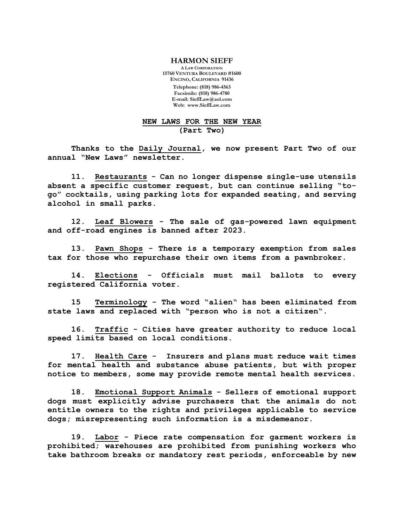## **HARMON SIEFF**

**A LAW CORPORATION 15760 VENTURA BOULEVARD #1600 ENCINO, CALIFORNIA 91436 Telephone: (818) 986-4563 Facsimile: (818) 986-4780 E-mail: [SieffLaw@aol.com](mailto:SieffLaw@aol.com) Web: [www.SieffLaw.com](http://www.siefflaw.com/)**

## **NEW LAWS FOR THE NEW YEAR (Part Two)**

**Thanks to the Daily Journal, we now present Part Two of our annual "New Laws" newsletter.**

**11. Restaurants - Can no longer dispense single-use utensils absent a specific customer request, but can continue selling "togo" cocktails, using parking lots for expanded seating, and serving alcohol in small parks.** 

**12. Leaf Blowers - The sale of gas-powered lawn equipment and off-road engines is banned after 2023.** 

**13. Pawn Shops - There is a temporary exemption from sales tax for those who repurchase their own items from a pawnbroker.** 

**14. Elections - Officials must mail ballots to every registered California voter.** 

**15 Terminology - The word "alien" has been eliminated from state laws and replaced with "person who is not a citizen".** 

**16. Traffic - Cities have greater authority to reduce local speed limits based on local conditions.** 

**17. Health Care - Insurers and plans must reduce wait times for mental health and substance abuse patients, but with proper notice to members, some may provide remote mental health services.** 

**18. Emotional Support Animals - Sellers of emotional support dogs must explicitly advise purchasers that the animals do not entitle owners to the rights and privileges applicable to service dogs; misrepresenting such information is a misdemeanor.**

**19. Labor - Piece rate compensation for garment workers is prohibited; warehouses are prohibited from punishing workers who take bathroom breaks or mandatory rest periods, enforceable by new**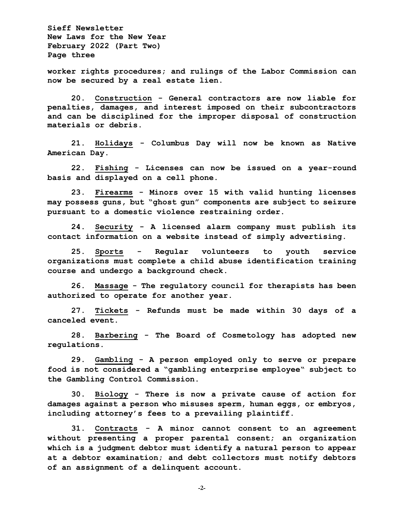**Sieff Newsletter New Laws for the New Year February 2022 (Part Two) Page three**

**worker rights procedures; and rulings of the Labor Commission can now be secured by a real estate lien.**

**20. Construction - General contractors are now liable for penalties, damages, and interest imposed on their subcontractors and can be disciplined for the improper disposal of construction materials or debris.**

**21. Holidays - Columbus Day will now be known as Native American Day.**

**22. Fishing - Licenses can now be issued on a year-round basis and displayed on a cell phone.**

**23. Firearms - Minors over 15 with valid hunting licenses may possess guns, but "ghost gun" components are subject to seizure pursuant to a domestic violence restraining order.** 

**24. Security - A licensed alarm company must publish its contact information on a website instead of simply advertising.** 

**25. Sports - Regular volunteers to youth service organizations must complete a child abuse identification training course and undergo a background check.** 

**26. Massage - The regulatory council for therapists has been authorized to operate for another year.** 

**27. Tickets - Refunds must be made within 30 days of a canceled event.** 

**28. Barbering - The Board of Cosmetology has adopted new regulations.** 

**29. Gambling - A person employed only to serve or prepare food is not considered a "gambling enterprise employee" subject to the Gambling Control Commission.** 

**30. Biology - There is now a private cause of action for damages against a person who misuses sperm, human eggs, or embryos, including attorney's fees to a prevailing plaintiff.** 

**31. Contracts - A minor cannot consent to an agreement without presenting a proper parental consent; an organization which is a judgment debtor must identify a natural person to appear at a debtor examination; and debt collectors must notify debtors of an assignment of a delinquent account.** 

**-2-**